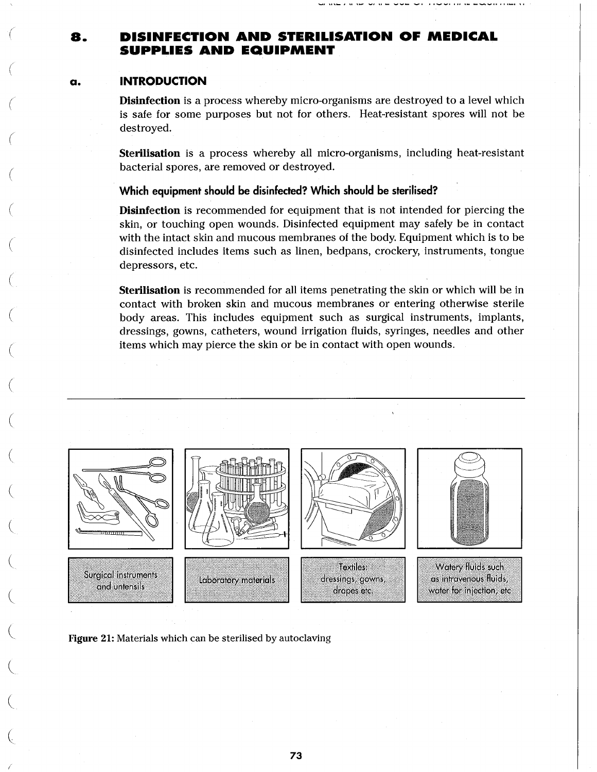# 8. DISINFECTION AND STERILISATION OF MEDICAL SUPPLIES AND EQUIPMENT

# a. INTRODUCTION

**(**

(

(

**(**

 $\backslash$ 

 $\overline{C}$ 

 $\overline{\phantom{0}}$ 

 $\overline{C}$ 

/

**Disinfection** is a process whereby micro-organisms are destroyed to a level which is safe for some purposes but not for others. Heat-resistant spores will not be destroyed.

Sterilisation is a process whereby all micro-organisms, including heat-resistant bacterial spores, are removed or destroyed.

# **Which equipment should be disinfected? Which should be sterilised?**

**Disinfection** is recommended for equipment that is not intended for piercing the skin, or touching open wounds. Disinfected equipment may safely be in contact with the intact skin and mucous membranes of the body. Equipment which is to be disinfected includes items such as linen, bedpans, crockery, instruments, tongue depressors, etc.

Sterilisation is recommended for all items penetrating the skin or which will be in contact with broken skin and mucous membranes or entering otherwise sterile body areas. This includes equipment such as surgical instruments, implants, dressings, gowns, catheters, wound irrigation fluids, syringes, needles and other items which may pierce the skin or be in contact with open wounds.



Figure 21: Materials which can be sterilised by autoclaving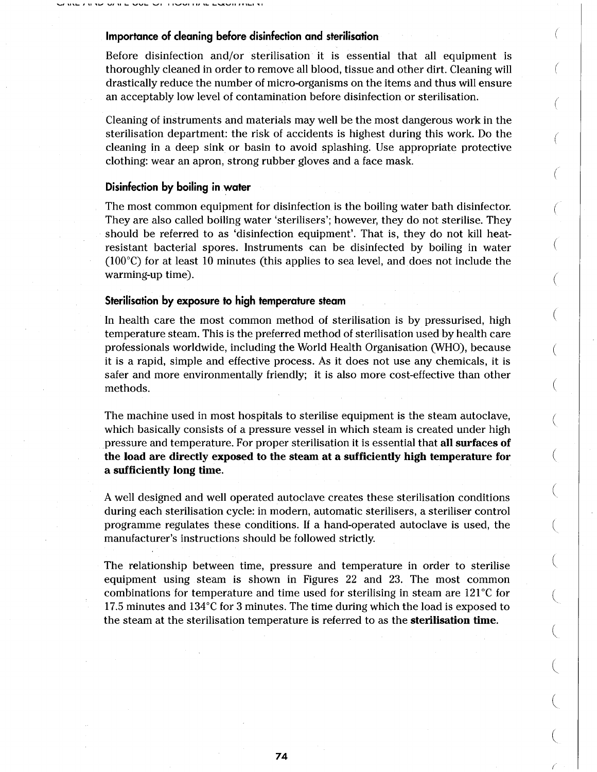# **Importance of cleaning before disinfection and sterilisation**

Before disinfection and/or sterilisation it is essential that all equipment is thoroughly cleaned in order to remove all blood, tissue and other dirt. Cleaning will drastically reduce the number of micro-organisms on the items and thus will ensure an acceptably low level of contamination before disinfection or sterilisation.

 $\left($ 

 $\left($ 

 $\left($ 

€

€

Cleaning of instruments and materials may well be the most dangerous work in the sterilisation department: the risk of accidents is highest during this work. Do the cleaning in a deep sink or basin to avoid splashing. Use appropriate protective clothing: wear an apron, strong rubber gloves and a face mask.

### **Disinfection by boiling in water**

The most common equipment for disinfection is the boiling water bath disinfector. They are also called boiling water 'sterilisers'; however, they do not sterilise. They should be referred to as 'disinfection equipment'. That is, they do not kill heatresistant bacterial spores. Instruments can be disinfected by boiling in water (100°C) for at least 10 minutes (this applies to sea level, and does not include the warming-up time).

## **Sterilisation by exposure to high temperature steam**

In health care the most common method of sterilisation is by pressurised, high temperature steam. This is the preferred method of sterilisation used by health care professionals worldwide, including the World Health Organisation (WHO), because it is a rapid, simple and effective process. As it does not use any chemicals, it is safer and more environmentally friendly; it is also more cost-effective than other methods.

The machine used in most hospitals to sterilise equipment is the steam autoclave, which basically consists of a pressure vessel in which steam is created under high pressure and temperature. For proper sterilisation it is essential that all surfaces of the load are directly exposed to the steam at a sufficiently high temperature for a sufficiently long time.

A well designed and well operated autoclave creates these sterilisation conditions during each sterilisation cycle: in modern, automatic sterilisers, a steriliser control programme regulates these conditions. If a hand-operated autoclave is used, the manufacturer's instructions should be followed strictly.

The relationship between time, pressure and temperature in order to sterilise equipment using steam is shown in Figures 22 and 23. The most common combinations for temperature and time used for sterilising in steam are  $121^{\circ}$ C for 17.5 minutes and 134°C for 3 minutes. The time during which the load is exposed to the steam at the sterilisation temperature is referred to as the **sterilisation time**.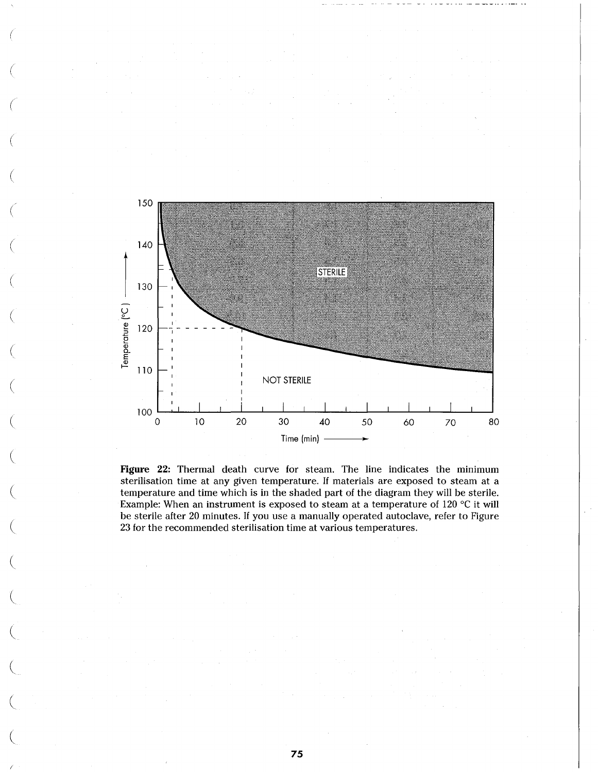

Figure 22: Thermal death curve for steam. The line indicates the minimum sterilisation time at any given temperature. If materials are exposed to steam at a temperature and time which is in the shaded part of the diagram they will be sterile. Example: When an instrument is exposed to steam at a temperature of 120 °C it will be sterile after 20 minutes. If you use a manually operated autoclave, refer to Figure 23 for the recommended sterilisation time at various temperatures.

75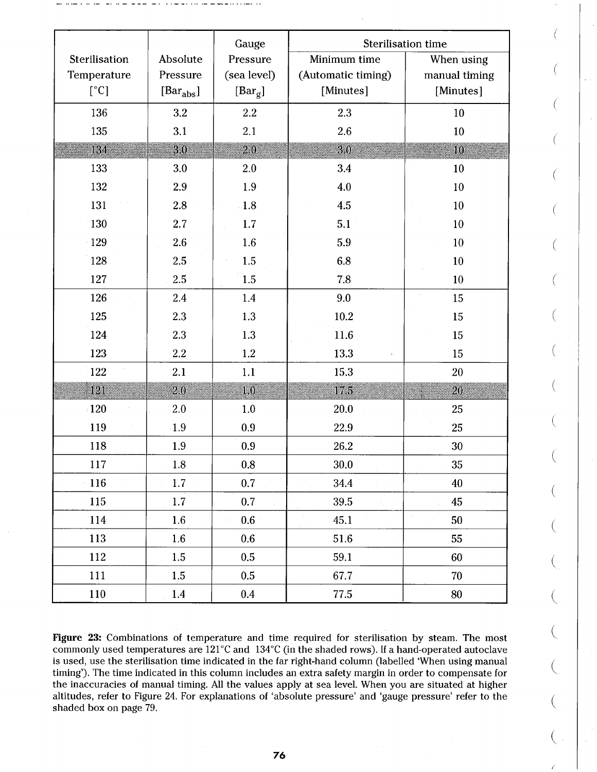|               |                                        | Gauge                    | <b>Sterilisation time</b> |               |  |  |
|---------------|----------------------------------------|--------------------------|---------------------------|---------------|--|--|
| Sterilisation | Absolute                               | Pressure                 | Minimum time              | When using    |  |  |
| Temperature   | Pressure                               | (sea level)              | (Automatic timing)        | manual timing |  |  |
| $[^{\circ}C]$ | $\left[\text{Bar}_{\text{abs}}\right]$ | $\lbrack Bar_{g}\rbrack$ | [Minutes]                 | [Minutes]     |  |  |
| 136           | 3.2                                    | $2.2\,$                  | 2.3<br>10                 |               |  |  |
| 135           | 3.1                                    | 2.1                      | 2.6<br>10                 |               |  |  |
| 134           | 3.0                                    | 2.0                      | 3.0                       | 10            |  |  |
| 133           | 3.0                                    | 2.0                      | 3.4                       | 10            |  |  |
| 132           | 2.9                                    | 1.9                      | 4.0                       | 10            |  |  |
| 131           | 2.8                                    | 1.8                      | 4.5                       | 10            |  |  |
| 130           | 2.7                                    | $1.7\,$                  | 5.1                       | 10            |  |  |
| 129           | 2.6                                    | 1.6                      | 5.9                       | 10            |  |  |
| 128           | 2.5                                    | 1.5                      | 6.8                       | 10            |  |  |
| 127           | 2.5                                    | 1.5                      | 7.8                       | 10            |  |  |
| 126           | 2.4                                    | 1.4                      | 9.0                       | 15            |  |  |
| 125           | 2.3                                    | 1.3                      | 10.2                      | 15            |  |  |
| 124           | 2.3                                    | 1.3                      | 11.6                      | 15            |  |  |
| 123           | 2.2                                    | 1.2                      | 13.3                      | 15            |  |  |
| 122           | 2.1                                    | 1.1                      | 15.3                      | 20            |  |  |
| 121           | 2.0                                    | 1.0                      | 17.5                      | 20            |  |  |
| $\pm 120$     | 2.0 <sub>1</sub>                       | 1.0                      | 20.0                      | 25            |  |  |
| 119           | 1.9                                    | 0.9                      | 22.9                      | 25            |  |  |
| 118           | 1.9                                    | 0.9                      | 26.2                      | 30            |  |  |
| 117           | $1.8\,$                                | $0.8\,$                  | 30.0                      | 35            |  |  |
| 116           | 1.7                                    | 0.7                      | 34.4                      | 40            |  |  |
| 115           | 1.7                                    | 0.7                      | 39.5                      | 45            |  |  |
| 114           | 1.6                                    | $0.6^\circ$              | 45.1                      | 50            |  |  |
| 113           | 1.6                                    | 0.6                      | 51.6                      | 55            |  |  |
| 112           | 1.5                                    | $0.5\,$                  | 59.1                      | 60            |  |  |
| 111           | $1.5\,$                                | 0.5                      | 67.7                      | 70            |  |  |
| 110           | 1.4                                    | $\rm 0.4$                | 77.5                      | 80            |  |  |

Figure 23: Combinations of temperature and time required for sterilisation by steam. The most commonly used temperatures are 121°C and 134°C (in the shaded rows). If a hand-operated autoclave is used, use the sterilisation time indicated in the far right-hand column (labelled 'When using manual timing'). The time indicated in this column includes an extra safety margin in order to compensate for the inaccuracies of manual timing. All the values apply at sea level. When you are situated at higher altitudes, refer to Figure 24. For explanations of 'absolute pressure' and 'gauge pressure' refer to the shaded box on page 79.

∖

 $\left(\right)$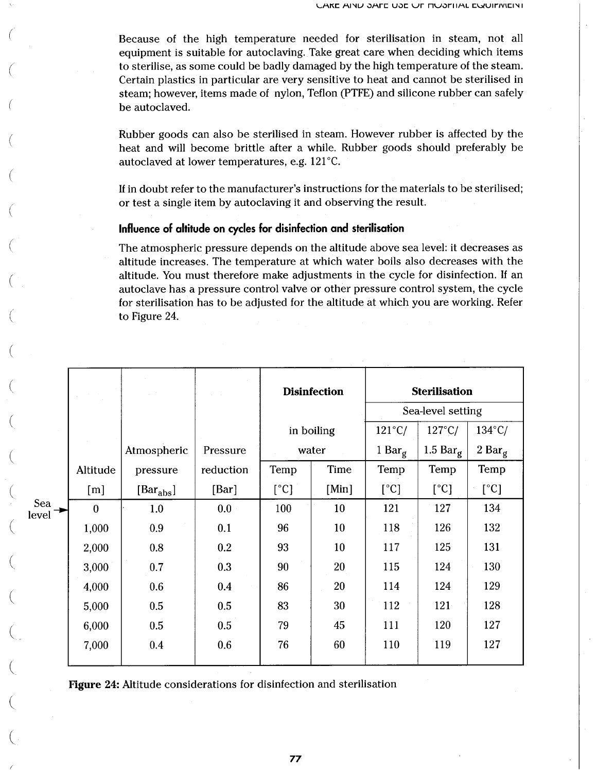Because of the high temperature needed for sterilisation in steam, not all equipment is suitable for autoclaving. Take great care when deciding which items to sterilise, as some could be badly damaged by the high temperature of the steam. Certain plastics in particular are very sensitive to heat and cannot be sterilised in steam; however, items made of nylon, Teflon (PTFE) and silicone rubber can safely be autoclaved.

Rubber goods can also be sterilised in steam. However rubber is affected by the heat and will become brittle after a while. Rubber goods should preferably be autoclaved at lower temperatures, e.g.  $121^{\circ}$ C.

If in doubt refer to the manufacturer's instructions for the materials to be sterilised; or test a single item by autoclaving it and observing the result.

## **Influence of altitude on cycles for disinfection and sterilisation**

The atmospheric pressure depends on the altitude above sea level: it decreases as altitude increases. The temperature at which water boils also decreases with the altitude. You must therefore make adjustments in the cycle for disinfection. If an autoclave has a pressure control valve or other pressure control system, the cycle for sterilisation has to be adjusted for the altitude at which you are working. Refer to Figure 24.

|              |                  |                                         |           | <b>Disinfection</b> |       | <b>Sterilisation</b> |                    |                  |
|--------------|------------------|-----------------------------------------|-----------|---------------------|-------|----------------------|--------------------|------------------|
|              |                  |                                         |           |                     |       | Sea-level setting    |                    |                  |
|              |                  |                                         |           | in boiling<br>water |       | $121^{\circ}$ C/     | $127^{\circ}$ C/   | $134^{\circ}$ C/ |
|              |                  | Atmospheric                             | Pressure  |                     |       | 1 Bar $_g$           | 1.5 Bar $_{\rm g}$ | 2 Bar $_{\rm g}$ |
|              | Altitude         | pressure                                | reduction | Temp                | Time  | Temp                 | Temp               | Temp             |
|              | [m]              | $\lbrack\text{Bar}_{\text{abs}}\rbrack$ | [Bar]     | [°C]                | [Min] | [°C]                 | [°C]               | $[^{\circ}C]$    |
| Sea<br>level | $\boldsymbol{0}$ | 1.0                                     | 0.0       | 100                 | 10    | 121                  | 127                | 134              |
|              | 1,000            | 0.9                                     | 0.1       | 96                  | 10    | 118                  | 126                | 132              |
|              | 2,000            | 0.8                                     | 0.2       | 93                  | 10    | 117                  | 125                | 131              |
|              | 3,000            | 0.7                                     | 0.3       | 90                  | 20    | 115                  | 124                | 130              |
|              | 4,000            | 0.6                                     | 0.4       | 86                  | 20    | 114                  | 124                | 129              |
|              | 5,000            | 0.5                                     | 0.5       | 83                  | 30    | 112                  | 121                | 128              |
|              | 6,000            | 0.5                                     | 0.5       | 79                  | 45    | 111                  | 120                | 127              |
|              | 7,000            | $0.4\,$                                 | 0.6       | 76                  | 60    | 110                  | 119                | 127              |

Figure 24: Altitude considerations for disinfection and sterilisation

77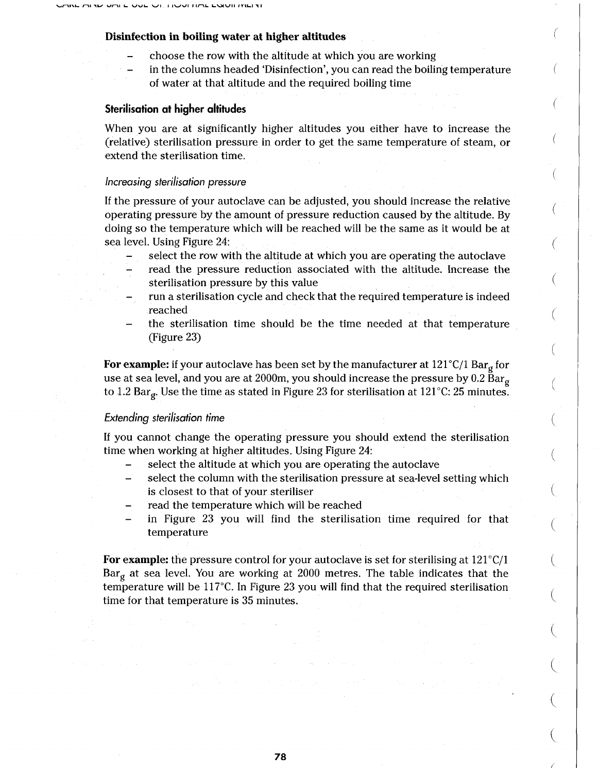#### Disinfection in boiling water at higher altitudes

- choose the row with the altitude at which you are working
- in the columns headed 'Disinfection', you can read the boiling temperature of water at that altitude and the required boiling time

## **Sterilisation at higher altitudes**

When you are at significantly higher altitudes you either have to increase the (relative) sterilisation pressure in order to get the same temperature of steam, or extend the sterilisation time.

## *Increasing sterilisation pressure*

If the pressure of your autoclave can be adjusted, you should increase the relative operating pressure by the amount of pressure reduction caused by the altitude. By doing so the temperature which will be reached will be the same as it would be at sea level. Using Figure 24:

- select the row with the altitude at which you are operating the autoclave
- read the pressure reduction associated with the altitude. Increase the sterilisation pressure by this value
- run a sterilisation cycle and check that the required temperature is indeed reached
- the sterilisation time should be the time needed at that temperature (Figure 23)

For example: if your autoclave has been set by the manufacturer at  $121^{\circ}C/1$  Bar<sub>g</sub> for use at sea level, and you are at 2000m, you should increase the pressure by 0.2 Bar<sub>g</sub> to 1.2 Bar<sub>g</sub>. Use the time as stated in Figure 23 for sterilisation at 121 °C: 25 minutes.

## *Extending sterilisation time*

If you cannot change the operating pressure you should extend the sterilisation time when working at higher altitudes. Using Figure 24:

- select the altitude at which you are operating the autoclave
- select the column with the sterilisation pressure at sea-level setting which is closest to that of your steriliser
- read the temperature which will be reached
- in Figure 23 you will find the sterilisation time required for that temperature

For example: the pressure control for your autoclave is set for sterilising at 121°C/1  $Bar_{\sigma}$  at sea level. You are working at 2000 metres. The table indicates that the temperature will be 117°C. In Figure 23 you will find that the required sterilisation time for that temperature is 35 minutes.